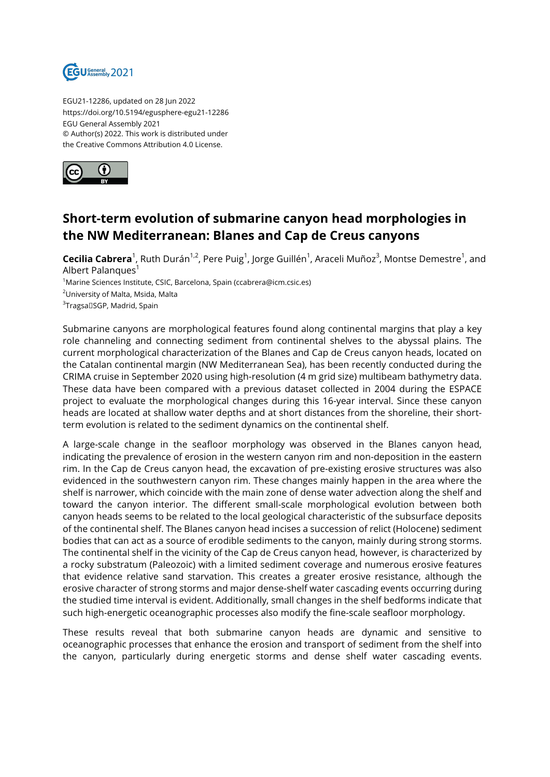

EGU21-12286, updated on 28 Jun 2022 https://doi.org/10.5194/egusphere-egu21-12286 EGU General Assembly 2021 © Author(s) 2022. This work is distributed under the Creative Commons Attribution 4.0 License.



## **Short-term evolution of submarine canyon head morphologies in the NW Mediterranean: Blanes and Cap de Creus canyons**

 $\sf{Cecilia}\,Cabrera^1$ , Ruth Durán<sup>1,2</sup>, Pere Puig<sup>1</sup>, Jorge Guillén<sup>1</sup>, Araceli Muñoz<sup>3</sup>, Montse Demestre<sup>1</sup>, and Albert Palanques<sup>1</sup>

<sup>1</sup>Marine Sciences Institute, CSIC, Barcelona, Spain (ccabrera@icm.csic.es)

<sup>2</sup>University of Malta, Msida, Malta

 $^3$ Tragsa $\Box$ SGP, Madrid, Spain

Submarine canyons are morphological features found along continental margins that play a key role channeling and connecting sediment from continental shelves to the abyssal plains. The current morphological characterization of the Blanes and Cap de Creus canyon heads, located on the Catalan continental margin (NW Mediterranean Sea), has been recently conducted during the CRIMA cruise in September 2020 using high-resolution (4 m grid size) multibeam bathymetry data. These data have been compared with a previous dataset collected in 2004 during the ESPACE project to evaluate the morphological changes during this 16-year interval. Since these canyon heads are located at shallow water depths and at short distances from the shoreline, their shortterm evolution is related to the sediment dynamics on the continental shelf.

A large-scale change in the seafloor morphology was observed in the Blanes canyon head, indicating the prevalence of erosion in the western canyon rim and non-deposition in the eastern rim. In the Cap de Creus canyon head, the excavation of pre-existing erosive structures was also evidenced in the southwestern canyon rim. These changes mainly happen in the area where the shelf is narrower, which coincide with the main zone of dense water advection along the shelf and toward the canyon interior. The different small-scale morphological evolution between both canyon heads seems to be related to the local geological characteristic of the subsurface deposits of the continental shelf. The Blanes canyon head incises a succession of relict (Holocene) sediment bodies that can act as a source of erodible sediments to the canyon, mainly during strong storms. The continental shelf in the vicinity of the Cap de Creus canyon head, however, is characterized by a rocky substratum (Paleozoic) with a limited sediment coverage and numerous erosive features that evidence relative sand starvation. This creates a greater erosive resistance, although the erosive character of strong storms and major dense-shelf water cascading events occurring during the studied time interval is evident. Additionally, small changes in the shelf bedforms indicate that such high-energetic oceanographic processes also modify the fine-scale seafloor morphology.

These results reveal that both submarine canyon heads are dynamic and sensitive to oceanographic processes that enhance the erosion and transport of sediment from the shelf into the canyon, particularly during energetic storms and dense shelf water cascading events.